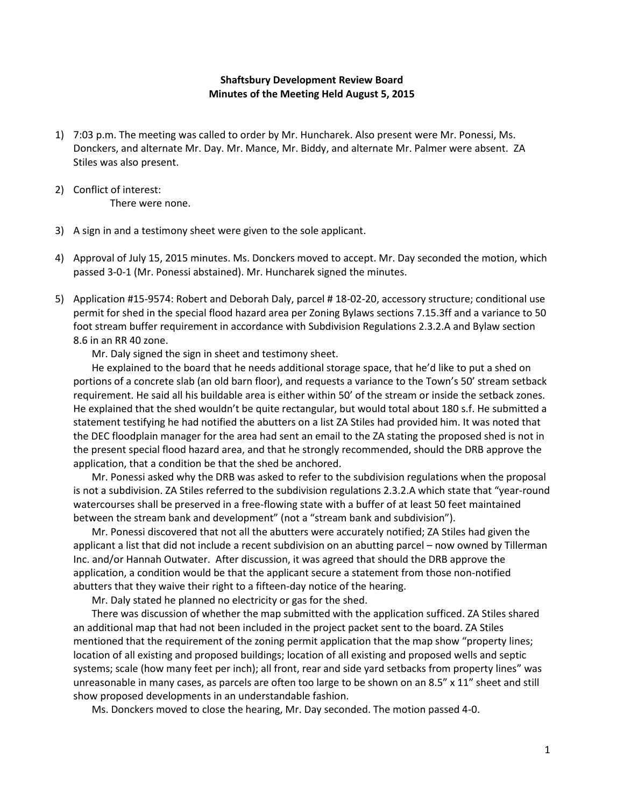## **Shaftsbury Development Review Board Minutes of the Meeting Held August 5, 2015**

- 1) 7:03 p.m. The meeting was called to order by Mr. Huncharek. Also present were Mr. Ponessi, Ms. Donckers, and alternate Mr. Day. Mr. Mance, Mr. Biddy, and alternate Mr. Palmer were absent. ZA Stiles was also present.
- 2) Conflict of interest: There were none.
- 3) A sign in and a testimony sheet were given to the sole applicant.
- 4) Approval of July 15, 2015 minutes. Ms. Donckers moved to accept. Mr. Day seconded the motion, which passed 3-0-1 (Mr. Ponessi abstained). Mr. Huncharek signed the minutes.
- 5) Application #15-9574: Robert and Deborah Daly, parcel # 18-02-20, accessory structure; conditional use permit for shed in the special flood hazard area per Zoning Bylaws sections 7.15.3ff and a variance to 50 foot stream buffer requirement in accordance with Subdivision Regulations 2.3.2.A and Bylaw section 8.6 in an RR 40 zone.

Mr. Daly signed the sign in sheet and testimony sheet.

He explained to the board that he needs additional storage space, that he'd like to put a shed on portions of a concrete slab (an old barn floor), and requests a variance to the Town's 50' stream setback requirement. He said all his buildable area is either within 50' of the stream or inside the setback zones. He explained that the shed wouldn't be quite rectangular, but would total about 180 s.f. He submitted a statement testifying he had notified the abutters on a list ZA Stiles had provided him. It was noted that the DEC floodplain manager for the area had sent an email to the ZA stating the proposed shed is not in the present special flood hazard area, and that he strongly recommended, should the DRB approve the application, that a condition be that the shed be anchored.

Mr. Ponessi asked why the DRB was asked to refer to the subdivision regulations when the proposal is not a subdivision. ZA Stiles referred to the subdivision regulations 2.3.2.A which state that "year-round watercourses shall be preserved in a free-flowing state with a buffer of at least 50 feet maintained between the stream bank and development" (not a "stream bank and subdivision").

Mr. Ponessi discovered that not all the abutters were accurately notified; ZA Stiles had given the applicant a list that did not include a recent subdivision on an abutting parcel – now owned by Tillerman Inc. and/or Hannah Outwater. After discussion, it was agreed that should the DRB approve the application, a condition would be that the applicant secure a statement from those non-notified abutters that they waive their right to a fifteen-day notice of the hearing.

Mr. Daly stated he planned no electricity or gas for the shed.

There was discussion of whether the map submitted with the application sufficed. ZA Stiles shared an additional map that had not been included in the project packet sent to the board. ZA Stiles mentioned that the requirement of the zoning permit application that the map show "property lines; location of all existing and proposed buildings; location of all existing and proposed wells and septic systems; scale (how many feet per inch); all front, rear and side yard setbacks from property lines" was unreasonable in many cases, as parcels are often too large to be shown on an 8.5" x 11" sheet and still show proposed developments in an understandable fashion.

Ms. Donckers moved to close the hearing, Mr. Day seconded. The motion passed 4-0.